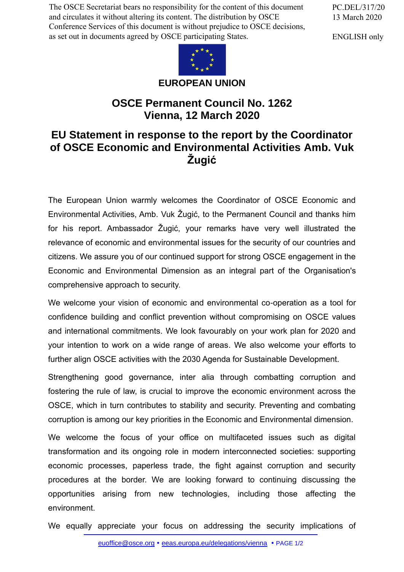The OSCE Secretariat bears no responsibility for the content of this document and circulates it without altering its content. The distribution by OSCE Conference Services of this document is without prejudice to OSCE decisions, as set out in documents agreed by OSCE participating States.

PC.DEL/317/20 13 March 2020

ENGLISH only



**EUROPEAN UNION**

## **OSCE Permanent Council No. 1262 Vienna, 12 March 2020**

## **EU Statement in response to the report by the Coordinator of OSCE Economic and Environmental Activities Amb. Vuk Žugić**

The European Union warmly welcomes the Coordinator of OSCE Economic and Environmental Activities, Amb. Vuk Žugić, to the Permanent Council and thanks him for his report. Ambassador Žugić, your remarks have very well illustrated the relevance of economic and environmental issues for the security of our countries and citizens. We assure you of our continued support for strong OSCE engagement in the Economic and Environmental Dimension as an integral part of the Organisation's comprehensive approach to security.

We welcome your vision of economic and environmental co-operation as a tool for confidence building and conflict prevention without compromising on OSCE values and international commitments. We look favourably on your work plan for 2020 and your intention to work on a wide range of areas. We also welcome your efforts to further align OSCE activities with the 2030 Agenda for Sustainable Development.

Strengthening good governance, inter alia through combatting corruption and fostering the rule of law, is crucial to improve the economic environment across the OSCE, which in turn contributes to stability and security. Preventing and combating corruption is among our key priorities in the Economic and Environmental dimension.

We welcome the focus of your office on multifaceted issues such as digital transformation and its ongoing role in modern interconnected societies: supporting economic processes, paperless trade, the fight against corruption and security procedures at the border. We are looking forward to continuing discussing the opportunities arising from new technologies, including those affecting the environment.

We equally appreciate your focus on addressing the security implications of